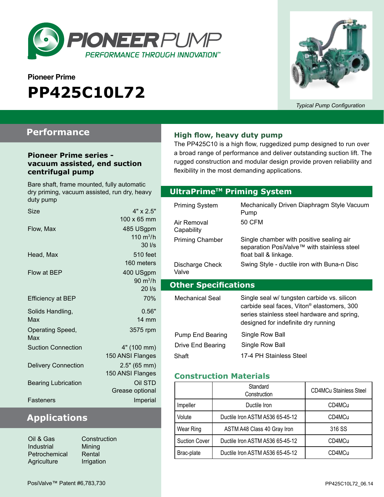

# **Pioneer Prime PP425C10L72**



*Typical Pump Configuration*

### **Performance**

#### **Pioneer Prime series vacuum assisted, end suction centrifugal pump**

Bare shaft, frame mounted, fully automatic dry priming, vacuum assisted, run dry, heavy

| Size                       | $4" \times 2.5"$                |
|----------------------------|---------------------------------|
|                            | 100 x 65 mm                     |
| Flow, Max                  | 485 USgpm                       |
|                            | 110 $m^3/h$                     |
|                            | $30$ $\text{I/s}$               |
| Head, Max                  | 510 feet                        |
|                            | 160 meters                      |
| Flow at BEP                | 400 USgpm                       |
|                            | $90 \; \mathrm{m}^3/\mathrm{h}$ |
|                            | 20 l/s                          |
| <b>Efficiency at BEP</b>   | 70%                             |
| Solids Handling,           | 0.56"                           |
| Max                        | <b>14 mm</b>                    |
| Operating Speed,<br>Max    | 3575 rpm                        |
| <b>Suction Connection</b>  | 4" (100 mm)                     |
|                            | 150 ANSI Flanges                |
| <b>Delivery Connection</b> | 2.5" (65 mm)                    |
|                            | 150 ANSI Flanges                |
| <b>Bearing Lubrication</b> | Oil STD                         |
|                            | Grease optional                 |
| <b>Fasteners</b>           | Imperial                        |

# **Applications**

| Oil & Gas     | Construction |
|---------------|--------------|
| Industrial    | Mining       |
| Petrochemical | Rental       |
| Agriculture   | Irrigation   |

**High flow, heavy duty pump**

The PP425C10 is a high flow, ruggedized pump designed to run over a broad range of performance and deliver outstanding suction lift. The rugged construction and modular design provide proven reliability and flexibility in the most demanding applications.

#### **Optional Priming System UltraPrimeTM Priming System**

| duty pump                                         |                         |                         |                                                        |
|---------------------------------------------------|-------------------------|-------------------------|--------------------------------------------------------|
| <b>Size</b>                                       | $4" \times 2.5"$        | <b>Priming System</b>   | Mechanically Driven Diaphragm Style Vacuum<br>Pump     |
|                                                   | 100 x 65 mm             | Air Removal             | <b>50 CFM</b>                                          |
| Flow, Max                                         | 485 USgpm               | Capability              |                                                        |
|                                                   | 110 $m^3/h$             | <b>Priming Chamber</b>  | Single chamber with positive sealing air               |
|                                                   | $30$ $\text{I/s}$       |                         | separation PosiValve™ with stainless steel             |
| Head, Max                                         | <b>510 feet</b>         |                         | float ball & linkage.                                  |
|                                                   | 160 meters              | Discharge Check         | Swing Style - ductile iron with Buna-n Disc            |
| Flow at BEP                                       | 400 USgpm               | Valve                   |                                                        |
| $90 \text{ m}^3/h$<br><b>Other Specifications</b> |                         |                         |                                                        |
|                                                   | 20 l/s                  |                         |                                                        |
| Efficiency at BEP                                 | 70%                     | <b>Mechanical Seal</b>  | Single seal w/ tungsten carbide vs. silicon            |
| Solids Handling,                                  | 0.56"                   |                         | carbide seal faces, Viton <sup>®</sup> elastomers, 300 |
| Max                                               | $14 \text{ mm}$         |                         | series stainless steel hardware and spring,            |
| Operating Speed,                                  | 3575 rpm                |                         | designed for indefinite dry running                    |
| Max                                               |                         | <b>Pump End Bearing</b> | Single Row Ball                                        |
| <b>Suction Connection</b>                         | 4" (100 mm)             | Drive End Bearing       | Single Row Ball                                        |
|                                                   | 150 ANSI Flanges        | Shaft                   | 17-4 PH Stainless Steel                                |
| Dolivary Connoction                               | $2.5$ $(65 \text{ mm})$ |                         |                                                        |

#### **Construction Materials**

|                      | Standard<br>Construction        | <b>CD4MCu Stainless Steel</b> |
|----------------------|---------------------------------|-------------------------------|
| Impeller             | Ductile Iron                    | CD4MCu                        |
| Volute               | Ductile Iron ASTM A536 65-45-12 | CD4MCu                        |
| Wear Ring            | ASTM A48 Class 40 Gray Iron     | 316 SS                        |
| <b>Suction Cover</b> | Ductile Iron ASTM A536 65-45-12 | CD4MCu                        |
| Brac-plate           | Ductile Iron ASTM A536 65-45-12 | CD4MCu                        |